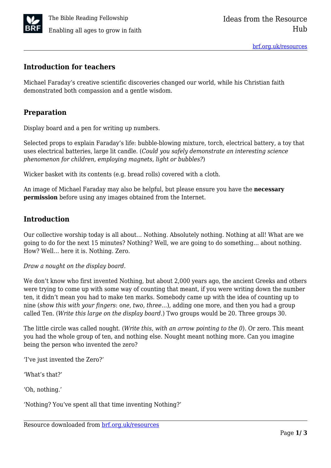

#### **Introduction for teachers**

Michael Faraday's creative scientific discoveries changed our world, while his Christian faith demonstrated both compassion and a gentle wisdom.

# **Preparation**

Display board and a pen for writing up numbers.

Selected props to explain Faraday's life: bubble-blowing mixture, torch, electrical battery, a toy that uses electrical batteries, large lit candle. (*Could you safely demonstrate an interesting science phenomenon for children, employing magnets, light or bubbles?*)

Wicker basket with its contents (e.g. bread rolls) covered with a cloth.

An image of Michael Faraday may also be helpful, but please ensure you have the **necessary permission** before using any images obtained from the Internet.

## **Introduction**

Our collective worship today is all about… Nothing. Absolutely nothing. Nothing at all! What are we going to do for the next 15 minutes? Nothing? Well, we are going to do something… about nothing. How? Well… here it is. Nothing. Zero.

*Draw a nought on the display board.*

We don't know who first invented Nothing, but about 2,000 years ago, the ancient Greeks and others were trying to come up with some way of counting that meant, if you were writing down the number ten, it didn't mean you had to make ten marks. Somebody came up with the idea of counting up to nine (*show this with your fingers*: o*ne, two, three…*)*,* adding one more, and then you had a group called Ten. (*Write this large on the display board.*) Two groups would be 20. Three groups 30.

The little circle was called nought. (*Write this, with an arrow pointing to the 0*)*.* Or zero. This meant you had the whole group of ten, and nothing else. Nought meant nothing more. Can you imagine being the person who invented the zero?

'I've just invented the Zero?'

'What's that?'

'Oh, nothing.'

'Nothing? You've spent all that time inventing Nothing?'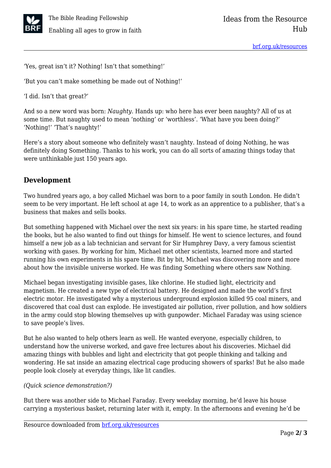

'Yes, great isn't it? Nothing! Isn't that something!'

'But you can't make something be made out of Nothing!'

'I did. Isn't that great?'

And so a new word was born: *Naughty.* Hands up: who here has ever been naughty? All of us at some time. But naughty used to mean 'nothing' or 'worthless'. 'What have you been doing?' 'Nothing!' 'That's naughty!'

Here's a story about someone who definitely wasn't naughty. Instead of doing Nothing, he was definitely doing Something. Thanks to his work, you can do all sorts of amazing things today that were unthinkable just 150 years ago.

## **Development**

Two hundred years ago, a boy called Michael was born to a poor family in south London. He didn't seem to be very important. He left school at age 14, to work as an apprentice to a publisher, that's a business that makes and sells books.

But something happened with Michael over the next six years: in his spare time, he started reading the books, but he also wanted to find out things for himself. He went to science lectures, and found himself a new job as a lab technician and servant for Sir Humphrey Davy, a very famous scientist working with gases. By working for him, Michael met other scientists, learned more and started running his own experiments in his spare time. Bit by bit, Michael was discovering more and more about how the invisible universe worked. He was finding Something where others saw Nothing.

Michael began investigating invisible gases, like chlorine. He studied light, electricity and magnetism. He created a new type of electrical battery. He designed and made the world's first electric motor. He investigated why a mysterious underground explosion killed 95 coal miners, and discovered that coal dust can explode. He investigated air pollution, river pollution, and how soldiers in the army could stop blowing themselves up with gunpowder. Michael Faraday was using science to save people's lives.

But he also wanted to help others learn as well. He wanted everyone, especially children, to understand how the universe worked, and gave free lectures about his discoveries. Michael did amazing things with bubbles and light and electricity that got people thinking and talking and wondering. He sat inside an amazing electrical cage producing showers of sparks! But he also made people look closely at everyday things, like lit candles.

#### *(Quick science demonstration?)*

But there was another side to Michael Faraday. Every weekday morning, he'd leave his house carrying a mysterious basket, returning later with it, empty. In the afternoons and evening he'd be